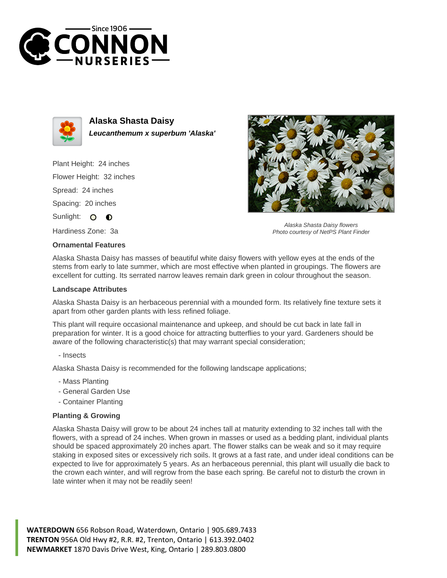



**Alaska Shasta Daisy Leucanthemum x superbum 'Alaska'**

Plant Height: 24 inches Flower Height: 32 inches

Spread: 24 inches

Spacing: 20 inches

Sunlight: O  $\bullet$ 

Hardiness Zone: 3a

## **Ornamental Features**



Alaska Shasta Daisy flowers Photo courtesy of NetPS Plant Finder

Alaska Shasta Daisy has masses of beautiful white daisy flowers with yellow eyes at the ends of the stems from early to late summer, which are most effective when planted in groupings. The flowers are excellent for cutting. Its serrated narrow leaves remain dark green in colour throughout the season.

## **Landscape Attributes**

Alaska Shasta Daisy is an herbaceous perennial with a mounded form. Its relatively fine texture sets it apart from other garden plants with less refined foliage.

This plant will require occasional maintenance and upkeep, and should be cut back in late fall in preparation for winter. It is a good choice for attracting butterflies to your yard. Gardeners should be aware of the following characteristic(s) that may warrant special consideration;

- Insects

Alaska Shasta Daisy is recommended for the following landscape applications;

- Mass Planting
- General Garden Use
- Container Planting

## **Planting & Growing**

Alaska Shasta Daisy will grow to be about 24 inches tall at maturity extending to 32 inches tall with the flowers, with a spread of 24 inches. When grown in masses or used as a bedding plant, individual plants should be spaced approximately 20 inches apart. The flower stalks can be weak and so it may require staking in exposed sites or excessively rich soils. It grows at a fast rate, and under ideal conditions can be expected to live for approximately 5 years. As an herbaceous perennial, this plant will usually die back to the crown each winter, and will regrow from the base each spring. Be careful not to disturb the crown in late winter when it may not be readily seen!

**WATERDOWN** 656 Robson Road, Waterdown, Ontario | 905.689.7433 **TRENTON** 956A Old Hwy #2, R.R. #2, Trenton, Ontario | 613.392.0402 **NEWMARKET** 1870 Davis Drive West, King, Ontario | 289.803.0800